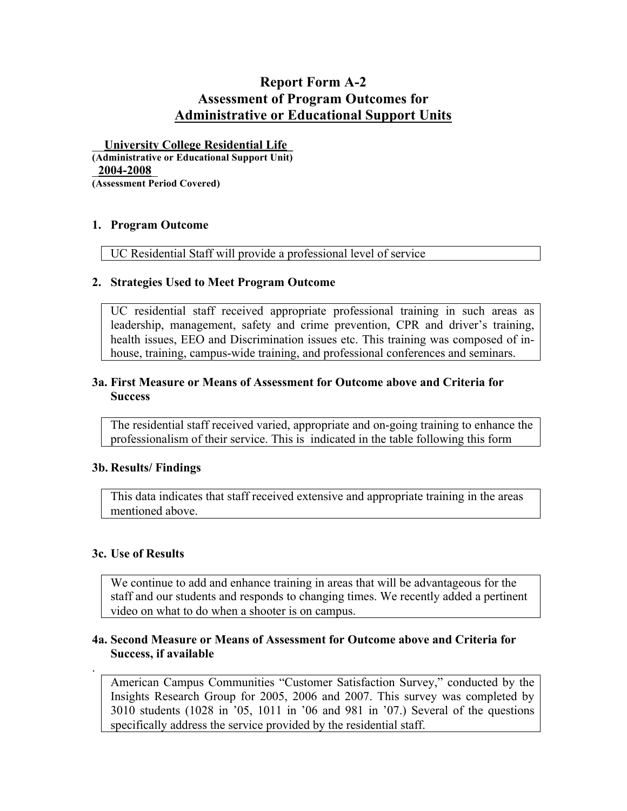# **Report Form A-2 Assessment of Program Outcomes for Administrative or Educational Support Units**

\_\_**University College Residential Life\_ (Administrative or Educational Support Unit)** \_**2004-2008**\_ **(Assessment Period Covered)**

#### **1. Program Outcome**

UC Residential Staff will provide a professional level of service

# **2. Strategies Used to Meet Program Outcome**

UC residential staff received appropriate professional training in such areas as leadership, management, safety and crime prevention, CPR and driver's training, health issues, EEO and Discrimination issues etc. This training was composed of inhouse, training, campus-wide training, and professional conferences and seminars.

#### **3a. First Measure or Means of Assessment for Outcome above and Criteria for Success**

The residential staff received varied, appropriate and on-going training to enhance the professionalism of their service. This is indicated in the table following this form

#### **3b. Results/ Findings**

This data indicates that staff received extensive and appropriate training in the areas mentioned above.

# **3c. Use of Results**

.

We continue to add and enhance training in areas that will be advantageous for the staff and our students and responds to changing times. We recently added a pertinent video on what to do when a shooter is on campus.

#### **4a. Second Measure or Means of Assessment for Outcome above and Criteria for Success, if available**

American Campus Communities "Customer Satisfaction Survey," conducted by the Insights Research Group for 2005, 2006 and 2007. This survey was completed by 3010 students (1028 in '05, 1011 in '06 and 981 in '07.) Several of the questions specifically address the service provided by the residential staff.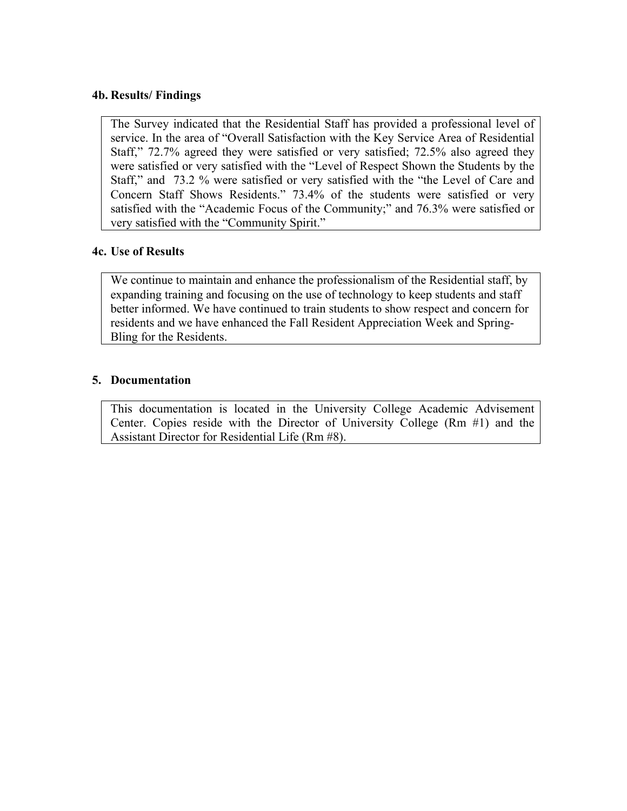# **4b. Results/ Findings**

The Survey indicated that the Residential Staff has provided a professional level of service. In the area of "Overall Satisfaction with the Key Service Area of Residential Staff," 72.7% agreed they were satisfied or very satisfied; 72.5% also agreed they were satisfied or very satisfied with the "Level of Respect Shown the Students by the Staff," and 73.2 % were satisfied or very satisfied with the "the Level of Care and Concern Staff Shows Residents." 73.4% of the students were satisfied or very satisfied with the "Academic Focus of the Community;" and 76.3% were satisfied or very satisfied with the "Community Spirit."

# **4c. Use of Results**

We continue to maintain and enhance the professionalism of the Residential staff, by expanding training and focusing on the use of technology to keep students and staff better informed. We have continued to train students to show respect and concern for residents and we have enhanced the Fall Resident Appreciation Week and Spring-Bling for the Residents.

# **5. Documentation**

This documentation is located in the University College Academic Advisement Center. Copies reside with the Director of University College (Rm #1) and the Assistant Director for Residential Life (Rm #8).